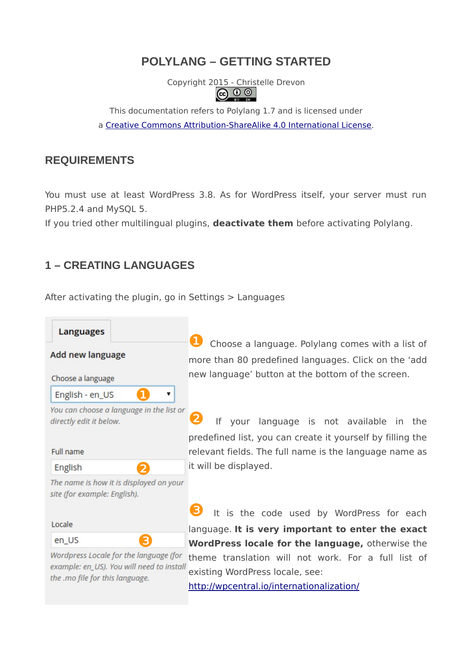# **POLYLANG – GETTING STARTED**

Copyright 2015 - Christelle Drevon 6 G

This documentation refers to Polylang 1.7 and is licensed under a [Creative Commons Attribution-ShareAlike 4.0 International License.](http://creativecommons.org/licenses/by-sa/4.0/)

### **REQUIREMENTS**

You must use at least WordPress 3.8. As for WordPress itself, your server must run PHP5.2.4 and MySQL 5.

If you tried other multilingual plugins, **deactivate them** before activating Polylang.

# **1 – CREATING LANGUAGES**

After activating the plugin, go in Settings > Languages



Wordpress Locale for the language (for example: en\_US). You will need to install

the .mo file for this language.

**U** Choose a language. Polylang comes with a list of more than 80 predefined languages. Click on the 'add new language' button at the bottom of the screen.

If your language is not available in the predefined list, you can create it yourself by filling the relevant fields. The full name is the language name as it will be displayed.

It is the code used by WordPress for each language. **It is very important to enter the exact WordPress locale for the language,** otherwise the theme translation will not work. For a full list of existing WordPress locale, see:

<http://wpcentral.io/internationalization/>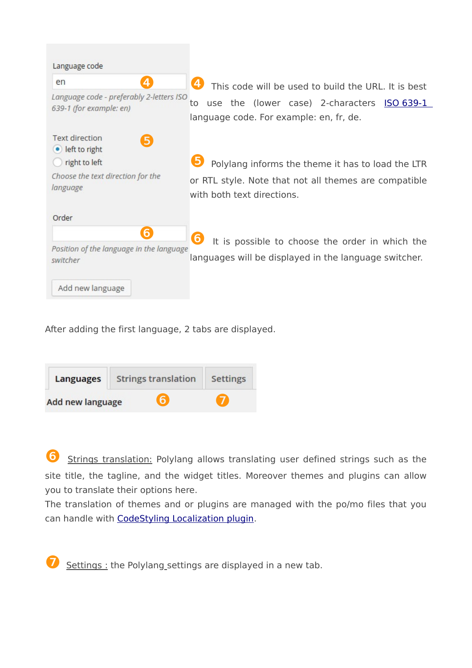| Language code                                                       |                                                                                              |  |  |  |
|---------------------------------------------------------------------|----------------------------------------------------------------------------------------------|--|--|--|
| en<br>Д                                                             | $\mathbf{4}$<br>This code will be used to build the URL. It is best                          |  |  |  |
| Language code - preferably 2-letters ISO<br>639-1 (for example: en) | use the (lower case) 2-characters ISO 639-1<br>to<br>language code. For example: en, fr, de. |  |  |  |
| <b>Text direction</b><br>5<br>$\bullet$ left to right               |                                                                                              |  |  |  |
| right to left                                                       | Polylang informs the theme it has to load the LTR                                            |  |  |  |
| Choose the text direction for the<br>language                       | or RTL style. Note that not all themes are compatible<br>with both text directions.          |  |  |  |
| Order                                                               |                                                                                              |  |  |  |
| 6                                                                   | It is possible to choose the order in which the                                              |  |  |  |
| Position of the language in the language<br>switcher                | languages will be displayed in the language switcher.                                        |  |  |  |
| Add new language                                                    |                                                                                              |  |  |  |

After adding the first language, 2 tabs are displayed.

| <b>Languages</b> | <b>Strings translation</b> | <b>Settings</b> |  |
|------------------|----------------------------|-----------------|--|
| Add new language | $\epsilon$                 |                 |  |

❻ Strings translation: Polylang allows translating user defined strings such as the site title, the tagline, and the widget titles. Moreover themes and plugins can allow you to translate their options here.

The translation of themes and or plugins are managed with the po/mo files that you can handle with [CodeStyling Localization plugin.](https://wordpress.org/plugins/codestyling-localization/)

Settings : the Polylang\_settings are displayed in a new tab.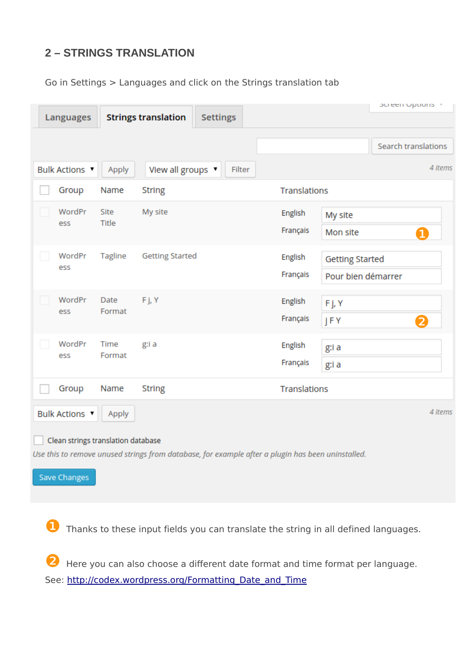# **2 – STRINGS TRANSLATION**

Go in Settings > Languages and click on the Strings translation tab

| <b>Languages</b>      |                                    | <b>Strings translation</b><br><b>Settings</b>                                                     |                            | puleen Options +                             |
|-----------------------|------------------------------------|---------------------------------------------------------------------------------------------------|----------------------------|----------------------------------------------|
|                       |                                    |                                                                                                   |                            | Search translations                          |
| <b>Bulk Actions ▼</b> | Apply                              | View all groups v<br>Filter                                                                       |                            | 4 items                                      |
|                       | Group<br>Name                      | <b>String</b>                                                                                     | Translations               |                                              |
| ess                   | WordPr<br>Site<br>Title            | My site                                                                                           | English<br>Français        | My site<br>Mon site<br>$\mathbf 1$           |
| ess                   | WordPr<br>Tagline                  | <b>Getting Started</b>                                                                            | <b>English</b><br>Français | <b>Getting Started</b><br>Pour bien démarrer |
| ess                   | WordPr<br>Date<br>Format           | Fj, Y                                                                                             | English<br>Français        | Fj, Y<br><b>jFY</b><br>$\overline{2}$        |
| ess                   | WordPr<br>Time<br>Format           | g:i a                                                                                             | English<br>Français        | g:i a<br>g:i a                               |
|                       | Group<br>Name                      | <b>String</b>                                                                                     | Translations               |                                              |
| <b>Bulk Actions ▼</b> | Apply                              |                                                                                                   |                            | 4 items                                      |
| <b>Save Changes</b>   | Clean strings translation database | Use this to remove unused strings from database, for example after a plugin has been uninstalled. |                            |                                              |

❶ Thanks to these input fields you can translate the string in all defined languages.

❷ Here you can also choose a different date format and time format per language. See: http://codex.wordpress.org/Formatting\_Date\_and\_Time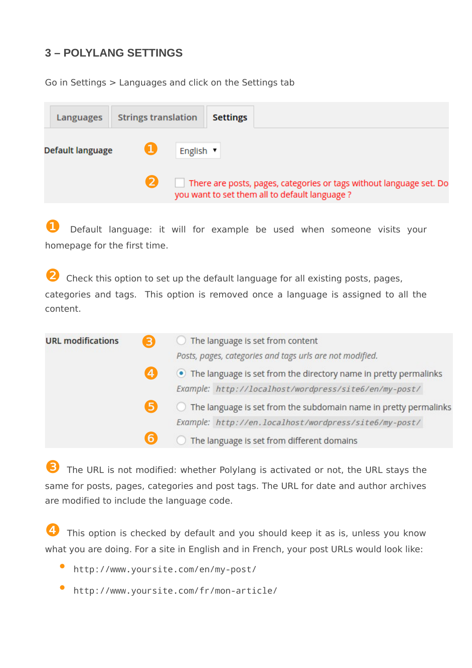# **3 – POLYLANG SETTINGS**

Go in Settings > Languages and click on the Settings tab

| Languages        | <b>Strings translation</b> | <b>Settings</b>                               |                                                                     |
|------------------|----------------------------|-----------------------------------------------|---------------------------------------------------------------------|
| Default language |                            | English v                                     |                                                                     |
|                  |                            | you want to set them all to default language? | There are posts, pages, categories or tags without language set. Do |

**1** Default language: it will for example be used when someone visits your homepage for the first time.

❷ Check this option to set up the default language for all existing posts, pages, categories and tags. This option is removed once a language is assigned to all the content.

| <b>URL modifications</b> | $\left  \mathbf{B} \right $ | The language is set from content                                   |
|--------------------------|-----------------------------|--------------------------------------------------------------------|
|                          |                             | Posts, pages, categories and tags urls are not modified.           |
|                          | $\left  \mathbf{4} \right $ | • The language is set from the directory name in pretty permalinks |
|                          |                             | Example: http://localhost/wordpress/site6/en/my-post/              |
|                          | 5                           | The language is set from the subdomain name in pretty permalinks   |
|                          |                             | Example: http://en.localhost/wordpress/site6/my-post/              |
|                          | 6                           | The language is set from different domains                         |

The URL is not modified: whether Polylang is activated or not, the URL stays the same for posts, pages, categories and post tags. The URL for date and author archives are modified to include the language code.

This option is checked by default and you should keep it as is, unless you know what you are doing. For a site in English and in French, your post URLs would look like:

- <http://www.yoursite.com/en/my-post/>
- <http://www.yoursite.com/fr/mon-article/>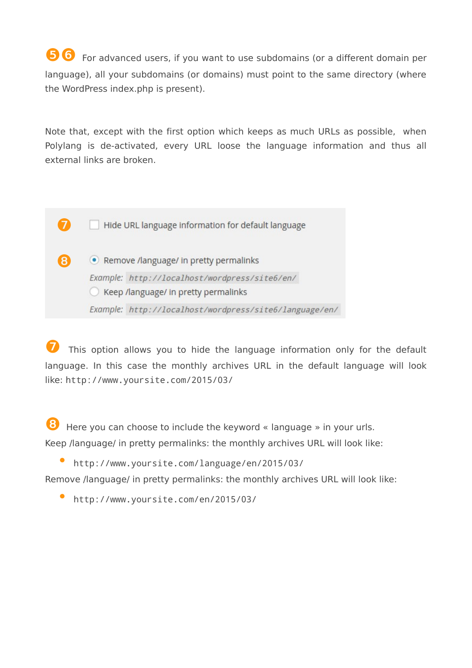❺❻ For advanced users, if you want to use subdomains (or a different domain per language), all your subdomains (or domains) must point to the same directory (where the WordPress index.php is present).

Note that, except with the first option which keeps as much URLs as possible, when Polylang is de-activated, every URL loose the language information and thus all external links are broken.

Hide URL language information for default language

❼

❽

• Remove /language/ in pretty permalinks Example: http://localhost/wordpress/site6/en/ ◯ Keep /language/ in pretty permalinks Example: http://localhost/wordpress/site6/language/en/

This option allows you to hide the language information only for the default language. In this case the monthly archives URL in the default language will look like: http://www.yoursite.com/2015/03/

❽ Here you can choose to include the keyword « language » in your urls. Keep /language/ in pretty permalinks: the monthly archives URL will look like:

• http://www.yoursite.com/language/en/2015/03/

Remove /language/ in pretty permalinks: the monthly archives URL will look like:

• http://www.yoursite.com/en/2015/03/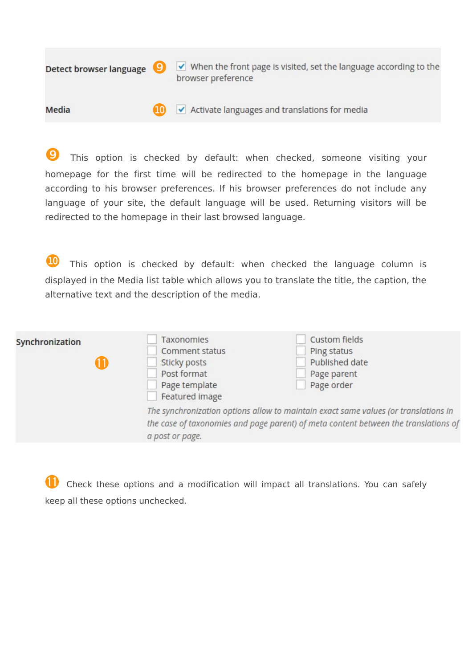$\triangledown$  When the front page is visited, set the language according to the **Detect browser language** ❾ browser preference

❿  $\blacktriangledown$  Activate languages and translations for media Media

**9** This option is checked by default: when checked, someone visiting your homepage for the first time will be redirected to the homepage in the language according to his browser preferences. If his browser preferences do not include any language of your site, the default language will be used. Returning visitors will be redirected to the homepage in their last browsed language.

**10** This option is checked by default: when checked the language column is displayed in the Media list table which allows you to translate the title, the caption, the alternative text and the description of the media.

| Synchronization | <b>Taxonomies</b><br>Comment status<br>Sticky posts<br>Post format<br>Page template<br>Featured image | Custom fields<br>Ping status<br>Published date<br>Page parent<br>Page order                                                                                                |
|-----------------|-------------------------------------------------------------------------------------------------------|----------------------------------------------------------------------------------------------------------------------------------------------------------------------------|
|                 | a post or page.                                                                                       | The synchronization options allow to maintain exact same values (or translations in<br>the case of taxonomies and page parent) of meta content between the translations of |

⓫ Check these options and a modification will impact all translations. You can safely keep all these options unchecked.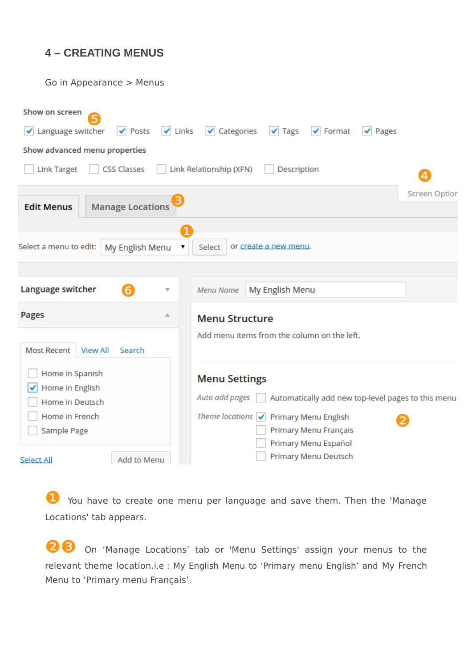## **4 – CREATING MENUS**

Go in Appearance > Menus



You have to create one menu per language and save them. Then the 'Manage Locations' tab appears.

On 'Manage Locations' tab or 'Menu Settings' assign your menus to the relevant theme location.i.e : My English Menu to 'Primary menu English' and My French Menu to 'Primary menu Français'.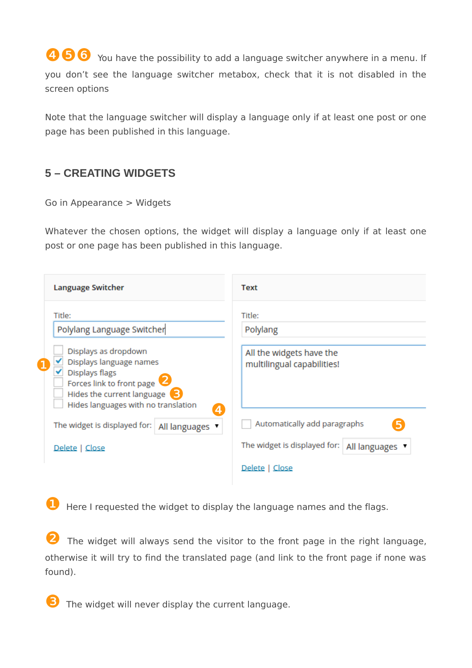**O**  $\odot$  You have the possibility to add a language switcher anywhere in a menu. If you don't see the language switcher metabox, check that it is not disabled in the screen options

Note that the language switcher will display a language only if at least one post or one page has been published in this language.

## **5 – CREATING WIDGETS**

Go in Appearance > Widgets

Whatever the chosen options, the widget will display a language only if at least one post or one page has been published in this language.

| <b>Language Switcher</b>                                                                                                               | <b>Text</b>                                                                  |
|----------------------------------------------------------------------------------------------------------------------------------------|------------------------------------------------------------------------------|
| Title:<br>Polylang Language Switcher<br>Displays as dropdown<br>Displays language names<br>Displays flags<br>Forces link to front page | Title:<br>Polylang<br>All the widgets have the<br>multilingual capabilities! |
| Hides the current language <b>3</b><br>Hides languages with no translation<br>The widget is displayed for:<br>All languages            | $\overline{4}$<br>Automatically add paragraphs                               |
| Delete   Close                                                                                                                         | The widget is displayed for:<br>All languages                                |
|                                                                                                                                        | Delete   Close                                                               |

**D** Here I requested the widget to display the language names and the flags.

The widget will always send the visitor to the front page in the right language, otherwise it will try to find the translated page (and link to the front page if none was found).

❸ The widget will never display the current language.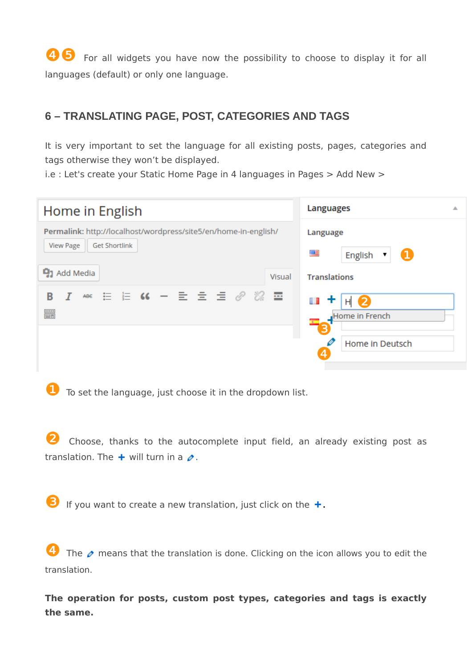**O** For all widgets you have now the possibility to choose to display it for all languages (default) or only one language.

## **6 – TRANSLATING PAGE, POST, CATEGORIES AND TAGS**

It is very important to set the language for all existing posts, pages, categories and tags otherwise they won't be displayed.

i.e : Let's create your Static Home Page in 4 languages in Pages > Add New >

| Home in English                                                 | <b>Languages</b>                   |  |  |
|-----------------------------------------------------------------|------------------------------------|--|--|
| Permalink: http://localhost/wordpress/site5/en/home-in-english/ | Language                           |  |  |
| <b>View Page</b><br><b>Get Shortlink</b>                        | ▦<br>English<br>$\mathbf 1$        |  |  |
| <b>91</b> Add Media<br>Visual                                   | <b>Translations</b>                |  |  |
| 目 目 (4 - 目 目 目 ∥ ※ 国<br>В<br>ABE<br><b>SHEEP</b><br><b>PHT</b>  | 2<br>Ш<br>Ť<br>H<br>Home in French |  |  |
|                                                                 | B.                                 |  |  |
|                                                                 | Home in Deutsch<br>$\overline{4}$  |  |  |

❶ To set the language, just choose it in the dropdown list.

Choose, thanks to the autocomplete input field, an already existing post as translation. The  $+$  will turn in a  $\oslash$ .

 $\bullet$  If you want to create a new translation, just click on the  $+$ .

The  $\rho$  means that the translation is done. Clicking on the icon allows you to edit the translation.

**The operation for posts, custom post types, categories and tags is exactly the same.**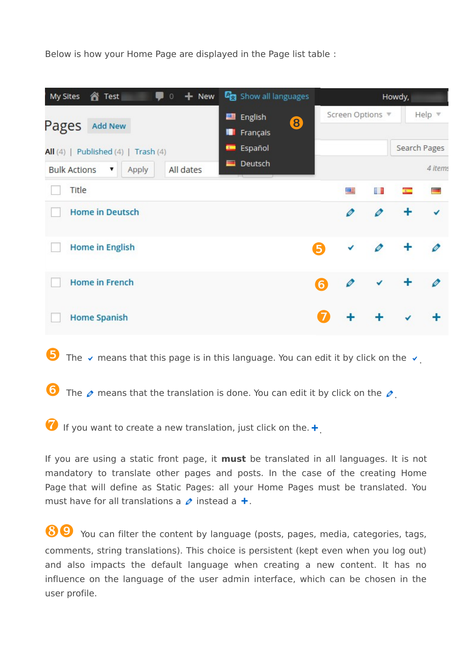Below is how your Home Page are displayed in the Page list table :

| <b>合</b> Test<br>My Sites<br>$0 + New$         | <b>G</b> <sub>3</sub> Show all languages |    | Howdy,                |    |                           |              |
|------------------------------------------------|------------------------------------------|----|-----------------------|----|---------------------------|--------------|
| Pages<br><b>Add New</b>                        | English<br>e<br>8<br>ш<br>Français       |    | Screen Options $\Psi$ |    |                           | Help $\Psi$  |
| All $(4)$   Published $(4)$   Trash $(4)$      | Español<br><b>Com</b>                    |    |                       |    |                           | Search Pages |
| All dates<br><b>Bulk Actions</b><br>Apply<br>▼ | Deutsch<br>$\equiv$                      |    |                       |    |                           | 4 items      |
| Title                                          |                                          |    | 罾                     | L. | $\mathcal{L}(\mathbb{R})$ |              |
| <b>Home in Deutsch</b>                         |                                          |    | Ø                     | D  |                           |              |
| <b>Home in English</b>                         |                                          | 5) |                       | Ø  |                           |              |
| <b>Home in French</b>                          |                                          | 6  |                       |    |                           |              |
| <b>Home Spanish</b>                            |                                          |    |                       |    |                           |              |

The  $\vee$  means that this page is in this language. You can edit it by click on the  $\vee$ .

The  $\rho$  means that the translation is done. You can edit it by click on the  $\rho$ .

 $\bullet$  If you want to create a new translation, just click on the.  $\bullet$ 

If you are using a static front page, it **must** be translated in all languages. It is not mandatory to translate other pages and posts. In the case of the creating Home Page that will define as Static Pages: all your Home Pages must be translated. You must have for all translations a  $\phi$  instead a  $+$ .

❽❾ You can filter the content by language (posts, pages, media, categories, tags, comments, string translations). This choice is persistent (kept even when you log out) and also impacts the default language when creating a new content. It has no influence on the language of the user admin interface, which can be chosen in the user profile.